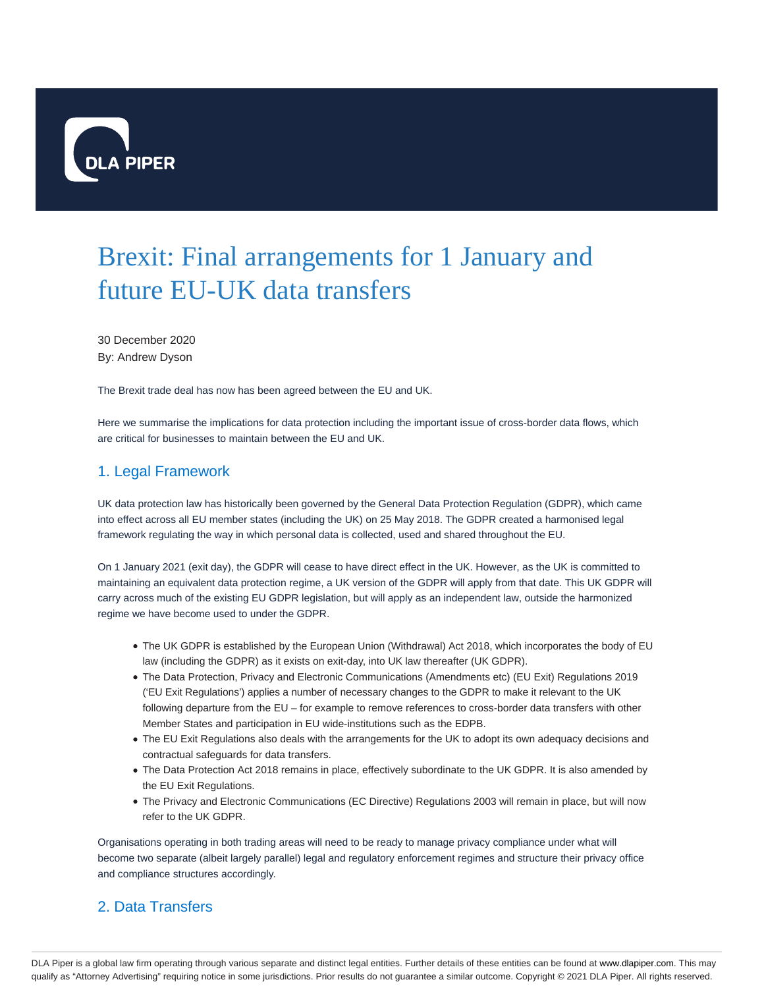

# Brexit: Final arrangements for 1 January and future EU-UK data transfers

30 December 2020 By: Andrew Dyson

The Brexit trade deal has now has been agreed between the EU and UK.

Here we summarise the implications for data protection including the important issue of cross-border data flows, which are critical for businesses to maintain between the EU and UK.

#### 1. Legal Framework

UK data protection law has historically been governed by the General Data Protection Regulation (GDPR), which came into effect across all EU member states (including the UK) on 25 May 2018. The GDPR created a harmonised legal framework regulating the way in which personal data is collected, used and shared throughout the EU.

On 1 January 2021 (exit day), the GDPR will cease to have direct effect in the UK. However, as the UK is committed to maintaining an equivalent data protection regime, a UK version of the GDPR will apply from that date. This UK GDPR will carry across much of the existing EU GDPR legislation, but will apply as an independent law, outside the harmonized regime we have become used to under the GDPR.

- The UK GDPR is established by the European Union (Withdrawal) Act 2018, which incorporates the body of EU law (including the GDPR) as it exists on exit-day, into UK law thereafter (UK GDPR).
- The Data Protection, Privacy and Electronic Communications (Amendments etc) (EU Exit) Regulations 2019 ('EU Exit Regulations') applies a number of necessary changes to the GDPR to make it relevant to the UK following departure from the EU – for example to remove references to cross-border data transfers with other Member States and participation in EU wide-institutions such as the EDPB.
- The EU Exit Regulations also deals with the arrangements for the UK to adopt its own adequacy decisions and contractual safeguards for data transfers.
- The Data Protection Act 2018 remains in place, effectively subordinate to the UK GDPR. It is also amended by the EU Exit Regulations.
- The Privacy and Electronic Communications (EC Directive) Regulations 2003 will remain in place, but will now refer to the UK GDPR.

Organisations operating in both trading areas will need to be ready to manage privacy compliance under what will become two separate (albeit largely parallel) legal and regulatory enforcement regimes and structure their privacy office and compliance structures accordingly.

## 2. Data Transfers

DLA Piper is a global law firm operating through various separate and distinct legal entities. Further details of these entities can be found at www.dlapiper.com. This may qualify as "Attorney Advertising" requiring notice in some jurisdictions. Prior results do not guarantee a similar outcome. Copyright © 2021 DLA Piper. All rights reserved.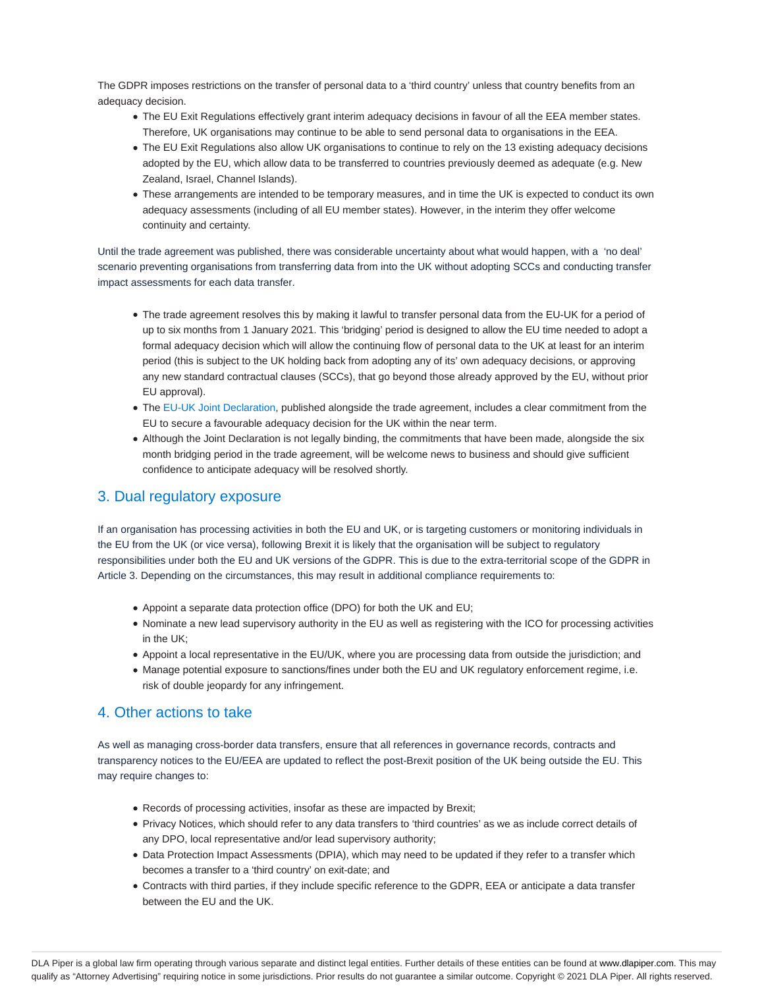The GDPR imposes restrictions on the transfer of personal data to a 'third country' unless that country benefits from an adequacy decision.

- The EU Exit Regulations effectively grant interim adequacy decisions in favour of all the EEA member states. Therefore, UK organisations may continue to be able to send personal data to organisations in the EEA.
- The EU Exit Regulations also allow UK organisations to continue to rely on the 13 existing adequacy decisions adopted by the EU, which allow data to be transferred to countries previously deemed as adequate (e.g. New Zealand, Israel, Channel Islands).
- These arrangements are intended to be temporary measures, and in time the UK is expected to conduct its own adequacy assessments (including of all EU member states). However, in the interim they offer welcome continuity and certainty.

Until the trade agreement was published, there was considerable uncertainty about what would happen, with a 'no deal' scenario preventing organisations from transferring data from into the UK without adopting SCCs and conducting transfer impact assessments for each data transfer.

- The trade agreement resolves this by making it lawful to transfer personal data from the EU-UK for a period of up to six months from 1 January 2021. This 'bridging' period is designed to allow the EU time needed to adopt a formal adequacy decision which will allow the continuing flow of personal data to the UK at least for an interim period (this is subject to the UK holding back from adopting any of its' own adequacy decisions, or approving any new standard contractual clauses (SCCs), that go beyond those already approved by the EU, without prior EU approval).
- The EU-UK Joint Declaration, published alongside the trade agreement, includes a clear commitment from the EU to secure a favourable adequacy decision for the UK within the near term.
- Although the Joint Declaration is not legally binding, the commitments that have been made, alongside the six month bridging period in the trade agreement, will be welcome news to business and should give sufficient confidence to anticipate adequacy will be resolved shortly.

#### 3. Dual regulatory exposure

If an organisation has processing activities in both the EU and UK, or is targeting customers or monitoring individuals in the EU from the UK (or vice versa), following Brexit it is likely that the organisation will be subject to regulatory responsibilities under both the EU and UK versions of the GDPR. This is due to the extra-territorial scope of the GDPR in Article 3. Depending on the circumstances, this may result in additional compliance requirements to:

- Appoint a separate data protection office (DPO) for both the UK and EU;
- Nominate a new lead supervisory authority in the EU as well as registering with the ICO for processing activities in the UK;
- Appoint a local representative in the EU/UK, where you are processing data from outside the jurisdiction; and
- Manage potential exposure to sanctions/fines under both the EU and UK regulatory enforcement regime, i.e. risk of double jeopardy for any infringement.

#### 4. Other actions to take

As well as managing cross-border data transfers, ensure that all references in governance records, contracts and transparency notices to the EU/EEA are updated to reflect the post-Brexit position of the UK being outside the EU. This may require changes to:

- Records of processing activities, insofar as these are impacted by Brexit;
- Privacy Notices, which should refer to any data transfers to 'third countries' as we as include correct details of any DPO, local representative and/or lead supervisory authority;
- Data Protection Impact Assessments (DPIA), which may need to be updated if they refer to a transfer which becomes a transfer to a 'third country' on exit-date; and
- Contracts with third parties, if they include specific reference to the GDPR, EEA or anticipate a data transfer between the EU and the UK.